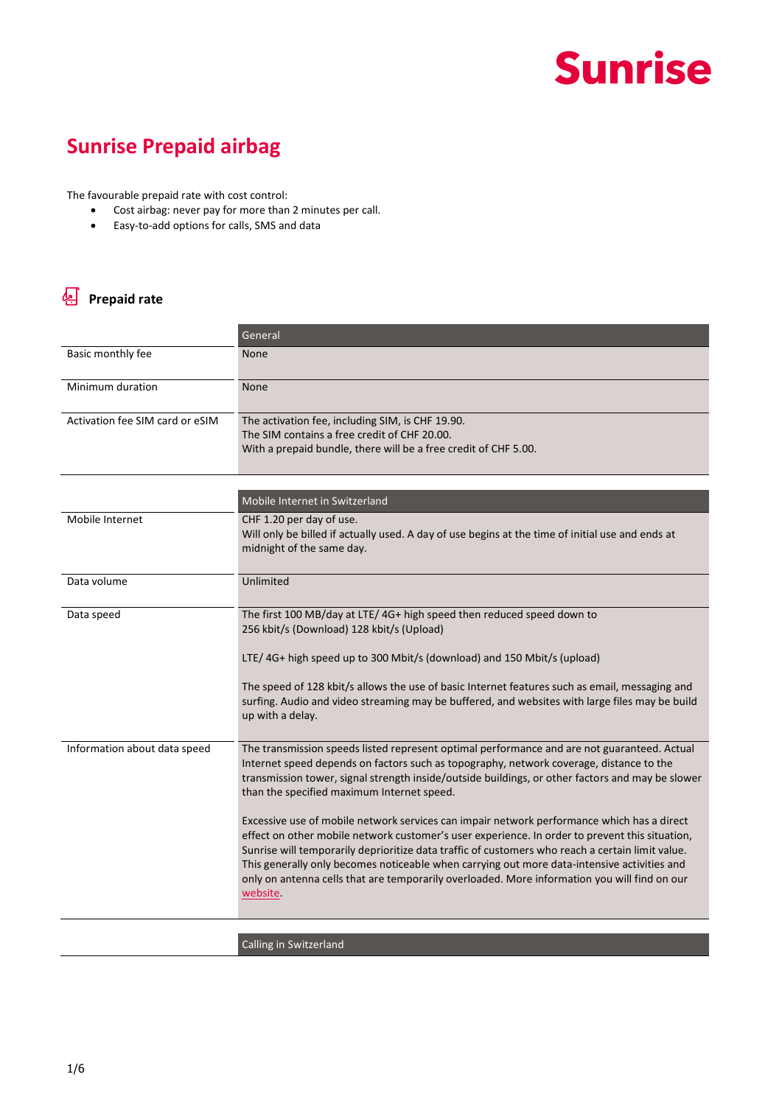

#### **Sunrise Prepaid airbag**

The favourable prepaid rate with cost control:

- Cost airbag: never pay for more than 2 minutes per call.
- Easy-to-add options for calls, SMS and data

#### **Prepaid rate**

|                                 | General                                                                                                                                                                                                                                                                                                                                                                                                                                                                                                             |
|---------------------------------|---------------------------------------------------------------------------------------------------------------------------------------------------------------------------------------------------------------------------------------------------------------------------------------------------------------------------------------------------------------------------------------------------------------------------------------------------------------------------------------------------------------------|
| Basic monthly fee               | <b>None</b>                                                                                                                                                                                                                                                                                                                                                                                                                                                                                                         |
| Minimum duration                | None                                                                                                                                                                                                                                                                                                                                                                                                                                                                                                                |
| Activation fee SIM card or eSIM | The activation fee, including SIM, is CHF 19.90.<br>The SIM contains a free credit of CHF 20.00.<br>With a prepaid bundle, there will be a free credit of CHF 5.00.                                                                                                                                                                                                                                                                                                                                                 |
|                                 | Mobile Internet in Switzerland                                                                                                                                                                                                                                                                                                                                                                                                                                                                                      |
| Mobile Internet                 | CHF 1.20 per day of use.<br>Will only be billed if actually used. A day of use begins at the time of initial use and ends at<br>midnight of the same day.                                                                                                                                                                                                                                                                                                                                                           |
| Data volume                     | Unlimited                                                                                                                                                                                                                                                                                                                                                                                                                                                                                                           |
| Data speed                      | The first 100 MB/day at LTE/4G+ high speed then reduced speed down to<br>256 kbit/s (Download) 128 kbit/s (Upload)<br>LTE/4G+ high speed up to 300 Mbit/s (download) and 150 Mbit/s (upload)                                                                                                                                                                                                                                                                                                                        |
|                                 | The speed of 128 kbit/s allows the use of basic Internet features such as email, messaging and<br>surfing. Audio and video streaming may be buffered, and websites with large files may be build<br>up with a delay.                                                                                                                                                                                                                                                                                                |
| Information about data speed    | The transmission speeds listed represent optimal performance and are not guaranteed. Actual<br>Internet speed depends on factors such as topography, network coverage, distance to the<br>transmission tower, signal strength inside/outside buildings, or other factors and may be slower<br>than the specified maximum Internet speed.                                                                                                                                                                            |
|                                 | Excessive use of mobile network services can impair network performance which has a direct<br>effect on other mobile network customer's user experience. In order to prevent this situation,<br>Sunrise will temporarily deprioritize data traffic of customers who reach a certain limit value.<br>This generally only becomes noticeable when carrying out more data-intensive activities and<br>only on antenna cells that are temporarily overloaded. More information you will find on our<br><u>website</u> . |
|                                 | Calling in Switzerland                                                                                                                                                                                                                                                                                                                                                                                                                                                                                              |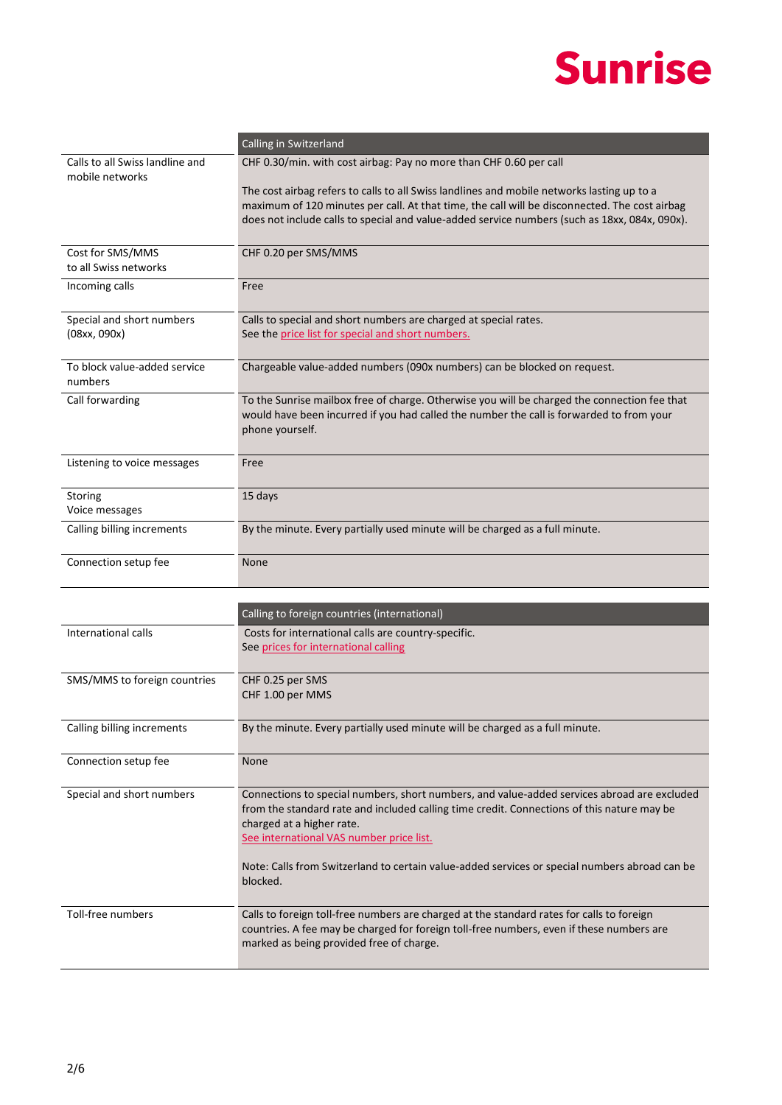|                                                    | Calling in Switzerland                                                                                                                                                                                                                                                                       |
|----------------------------------------------------|----------------------------------------------------------------------------------------------------------------------------------------------------------------------------------------------------------------------------------------------------------------------------------------------|
| Calls to all Swiss landline and<br>mobile networks | CHF 0.30/min. with cost airbag: Pay no more than CHF 0.60 per call                                                                                                                                                                                                                           |
|                                                    | The cost airbag refers to calls to all Swiss landlines and mobile networks lasting up to a<br>maximum of 120 minutes per call. At that time, the call will be disconnected. The cost airbag<br>does not include calls to special and value-added service numbers (such as 18xx, 084x, 090x). |
| Cost for SMS/MMS<br>to all Swiss networks          | CHF 0.20 per SMS/MMS                                                                                                                                                                                                                                                                         |
| Incoming calls                                     | Free                                                                                                                                                                                                                                                                                         |
| Special and short numbers<br>(08xx, 090x)          | Calls to special and short numbers are charged at special rates.<br>See the price list for special and short numbers.                                                                                                                                                                        |
| To block value-added service<br>numbers            | Chargeable value-added numbers (090x numbers) can be blocked on request.                                                                                                                                                                                                                     |
| Call forwarding                                    | To the Sunrise mailbox free of charge. Otherwise you will be charged the connection fee that<br>would have been incurred if you had called the number the call is forwarded to from your<br>phone yourself.                                                                                  |
| Listening to voice messages                        | Free                                                                                                                                                                                                                                                                                         |
| Storing<br>Voice messages                          | 15 days                                                                                                                                                                                                                                                                                      |
| Calling billing increments                         | By the minute. Every partially used minute will be charged as a full minute.                                                                                                                                                                                                                 |
| Connection setup fee                               | None                                                                                                                                                                                                                                                                                         |
|                                                    |                                                                                                                                                                                                                                                                                              |
|                                                    | Calling to foreign countries (international)                                                                                                                                                                                                                                                 |

|                              | Calling to foreign countries (international)                                                                                                                                                                                                                                                                                                                                    |
|------------------------------|---------------------------------------------------------------------------------------------------------------------------------------------------------------------------------------------------------------------------------------------------------------------------------------------------------------------------------------------------------------------------------|
| International calls          | Costs for international calls are country-specific.<br>See prices for international calling                                                                                                                                                                                                                                                                                     |
| SMS/MMS to foreign countries | CHF 0.25 per SMS<br>CHF 1.00 per MMS                                                                                                                                                                                                                                                                                                                                            |
| Calling billing increments   | By the minute. Every partially used minute will be charged as a full minute.                                                                                                                                                                                                                                                                                                    |
| Connection setup fee         | None                                                                                                                                                                                                                                                                                                                                                                            |
| Special and short numbers    | Connections to special numbers, short numbers, and value-added services abroad are excluded<br>from the standard rate and included calling time credit. Connections of this nature may be<br>charged at a higher rate.<br>See international VAS number price list.<br>Note: Calls from Switzerland to certain value-added services or special numbers abroad can be<br>blocked. |
| Toll-free numbers            | Calls to foreign toll-free numbers are charged at the standard rates for calls to foreign<br>countries. A fee may be charged for foreign toll-free numbers, even if these numbers are<br>marked as being provided free of charge.                                                                                                                                               |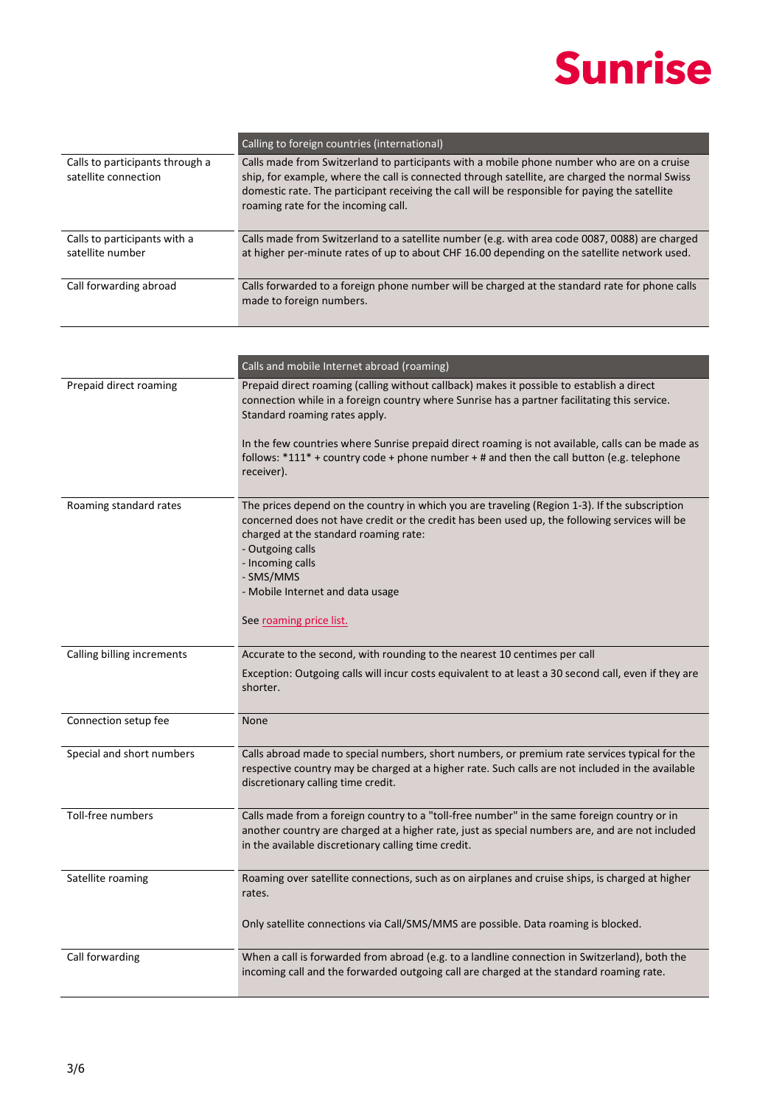|                                                         | Calling to foreign countries (international)                                                                                                                                                                                                                                                                                          |
|---------------------------------------------------------|---------------------------------------------------------------------------------------------------------------------------------------------------------------------------------------------------------------------------------------------------------------------------------------------------------------------------------------|
| Calls to participants through a<br>satellite connection | Calls made from Switzerland to participants with a mobile phone number who are on a cruise<br>ship, for example, where the call is connected through satellite, are charged the normal Swiss<br>domestic rate. The participant receiving the call will be responsible for paying the satellite<br>roaming rate for the incoming call. |
| Calls to participants with a<br>satellite number        | Calls made from Switzerland to a satellite number (e.g. with area code 0087, 0088) are charged<br>at higher per-minute rates of up to about CHF 16.00 depending on the satellite network used.                                                                                                                                        |
| Call forwarding abroad                                  | Calls forwarded to a foreign phone number will be charged at the standard rate for phone calls<br>made to foreign numbers.                                                                                                                                                                                                            |

|                            | Calls and mobile Internet abroad (roaming)                                                                                                                                                                                                                                                                                                                  |
|----------------------------|-------------------------------------------------------------------------------------------------------------------------------------------------------------------------------------------------------------------------------------------------------------------------------------------------------------------------------------------------------------|
| Prepaid direct roaming     | Prepaid direct roaming (calling without callback) makes it possible to establish a direct<br>connection while in a foreign country where Sunrise has a partner facilitating this service.<br>Standard roaming rates apply.                                                                                                                                  |
|                            | In the few countries where Sunrise prepaid direct roaming is not available, calls can be made as<br>follows: $*111* +$ country code + phone number + # and then the call button (e.g. telephone<br>receiver).                                                                                                                                               |
| Roaming standard rates     | The prices depend on the country in which you are traveling (Region 1-3). If the subscription<br>concerned does not have credit or the credit has been used up, the following services will be<br>charged at the standard roaming rate:<br>- Outgoing calls<br>- Incoming calls<br>- SMS/MMS<br>- Mobile Internet and data usage<br>See roaming price list. |
| Calling billing increments | Accurate to the second, with rounding to the nearest 10 centimes per call<br>Exception: Outgoing calls will incur costs equivalent to at least a 30 second call, even if they are<br>shorter.                                                                                                                                                               |
| Connection setup fee       | None                                                                                                                                                                                                                                                                                                                                                        |
| Special and short numbers  | Calls abroad made to special numbers, short numbers, or premium rate services typical for the<br>respective country may be charged at a higher rate. Such calls are not included in the available<br>discretionary calling time credit.                                                                                                                     |
| Toll-free numbers          | Calls made from a foreign country to a "toll-free number" in the same foreign country or in<br>another country are charged at a higher rate, just as special numbers are, and are not included<br>in the available discretionary calling time credit.                                                                                                       |
| Satellite roaming          | Roaming over satellite connections, such as on airplanes and cruise ships, is charged at higher<br>rates.                                                                                                                                                                                                                                                   |
|                            | Only satellite connections via Call/SMS/MMS are possible. Data roaming is blocked.                                                                                                                                                                                                                                                                          |
| Call forwarding            | When a call is forwarded from abroad (e.g. to a landline connection in Switzerland), both the<br>incoming call and the forwarded outgoing call are charged at the standard roaming rate.                                                                                                                                                                    |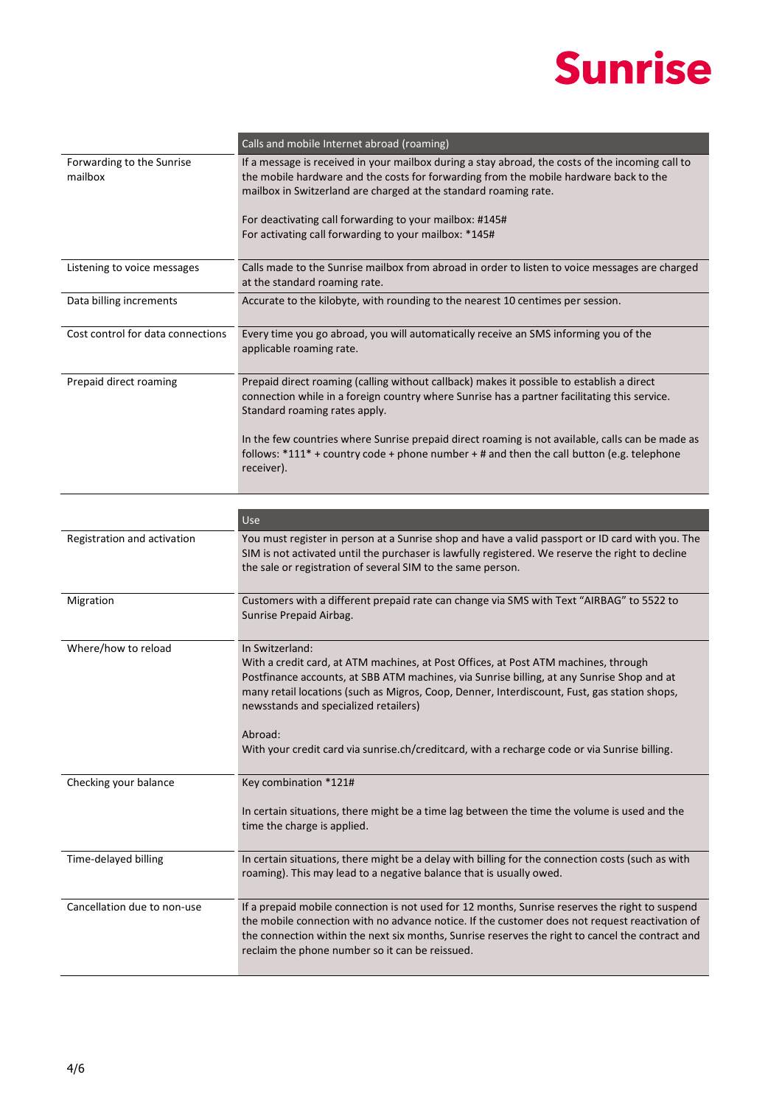

|                                      | Calls and mobile Internet abroad (roaming)                                                                                                                                                                                                                                                                                                                                                                                                                |
|--------------------------------------|-----------------------------------------------------------------------------------------------------------------------------------------------------------------------------------------------------------------------------------------------------------------------------------------------------------------------------------------------------------------------------------------------------------------------------------------------------------|
| Forwarding to the Sunrise<br>mailbox | If a message is received in your mailbox during a stay abroad, the costs of the incoming call to<br>the mobile hardware and the costs for forwarding from the mobile hardware back to the<br>mailbox in Switzerland are charged at the standard roaming rate.<br>For deactivating call forwarding to your mailbox: #145#<br>For activating call forwarding to your mailbox: *145#                                                                         |
| Listening to voice messages          | Calls made to the Sunrise mailbox from abroad in order to listen to voice messages are charged<br>at the standard roaming rate.                                                                                                                                                                                                                                                                                                                           |
| Data billing increments              | Accurate to the kilobyte, with rounding to the nearest 10 centimes per session.                                                                                                                                                                                                                                                                                                                                                                           |
| Cost control for data connections    | Every time you go abroad, you will automatically receive an SMS informing you of the<br>applicable roaming rate.                                                                                                                                                                                                                                                                                                                                          |
| Prepaid direct roaming               | Prepaid direct roaming (calling without callback) makes it possible to establish a direct<br>connection while in a foreign country where Sunrise has a partner facilitating this service.<br>Standard roaming rates apply.                                                                                                                                                                                                                                |
|                                      | In the few countries where Sunrise prepaid direct roaming is not available, calls can be made as<br>follows: $*111* + \text{country code} + \text{phone number} + \text{#}$ and then the call button (e.g. telephone<br>receiver).                                                                                                                                                                                                                        |
|                                      |                                                                                                                                                                                                                                                                                                                                                                                                                                                           |
|                                      | Use                                                                                                                                                                                                                                                                                                                                                                                                                                                       |
| Registration and activation          | You must register in person at a Sunrise shop and have a valid passport or ID card with you. The<br>SIM is not activated until the purchaser is lawfully registered. We reserve the right to decline<br>the sale or registration of several SIM to the same person.                                                                                                                                                                                       |
| Migration                            | Customers with a different prepaid rate can change via SMS with Text "AIRBAG" to 5522 to<br>Sunrise Prepaid Airbag.                                                                                                                                                                                                                                                                                                                                       |
| Where/how to reload                  | In Switzerland:<br>With a credit card, at ATM machines, at Post Offices, at Post ATM machines, through<br>Postfinance accounts, at SBB ATM machines, via Sunrise billing, at any Sunrise Shop and at<br>many retail locations (such as Migros, Coop, Denner, Interdiscount, Fust, gas station shops,<br>newsstands and specialized retailers)<br>Abroad:<br>With your credit card via sunrise.ch/creditcard, with a recharge code or via Sunrise billing. |
| Checking your balance                | Key combination *121#                                                                                                                                                                                                                                                                                                                                                                                                                                     |
|                                      | In certain situations, there might be a time lag between the time the volume is used and the<br>time the charge is applied.                                                                                                                                                                                                                                                                                                                               |
| Time-delayed billing                 | In certain situations, there might be a delay with billing for the connection costs (such as with<br>roaming). This may lead to a negative balance that is usually owed.                                                                                                                                                                                                                                                                                  |
| Cancellation due to non-use          | If a prepaid mobile connection is not used for 12 months, Sunrise reserves the right to suspend<br>the mobile connection with no advance notice. If the customer does not request reactivation of<br>the connection within the next six months, Sunrise reserves the right to cancel the contract and<br>reclaim the phone number so it can be reissued.                                                                                                  |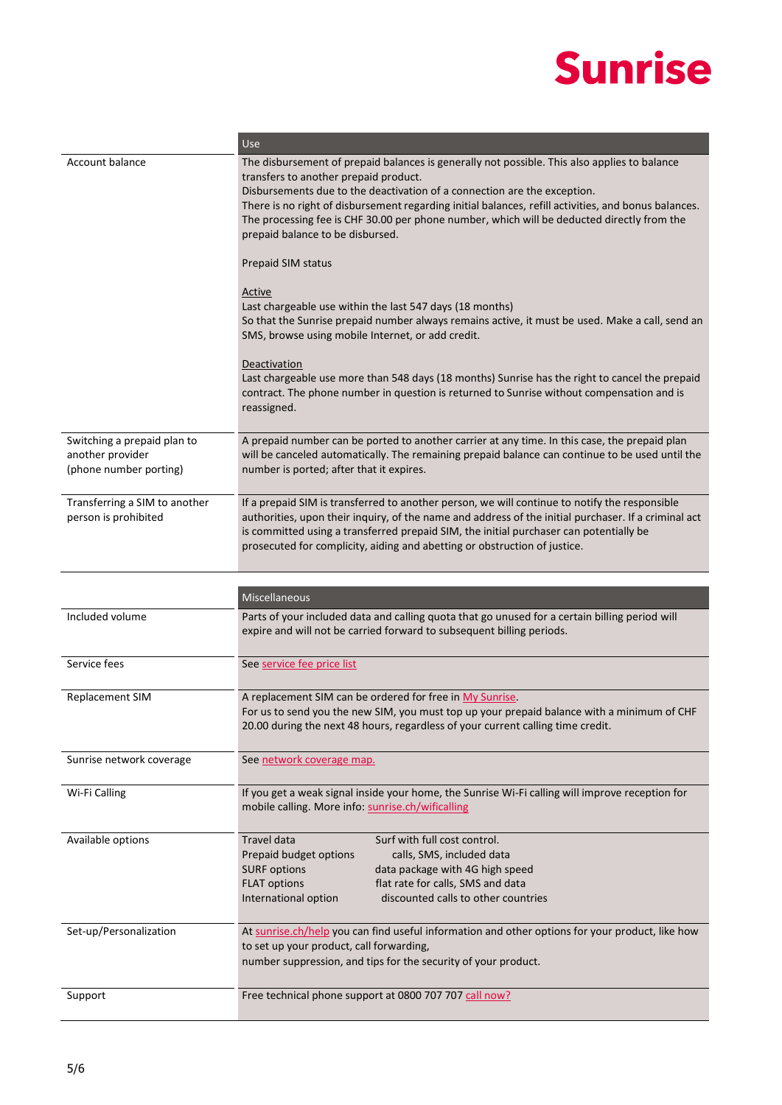|                                                                           | Use                                                                                                                                                                                                                                                                                                                                                                                                                                                                                                                                                                                                                                                                                                                                                                                                                                                                                                                                                  |
|---------------------------------------------------------------------------|------------------------------------------------------------------------------------------------------------------------------------------------------------------------------------------------------------------------------------------------------------------------------------------------------------------------------------------------------------------------------------------------------------------------------------------------------------------------------------------------------------------------------------------------------------------------------------------------------------------------------------------------------------------------------------------------------------------------------------------------------------------------------------------------------------------------------------------------------------------------------------------------------------------------------------------------------|
| Account balance                                                           | The disbursement of prepaid balances is generally not possible. This also applies to balance<br>transfers to another prepaid product.<br>Disbursements due to the deactivation of a connection are the exception.<br>There is no right of disbursement regarding initial balances, refill activities, and bonus balances.<br>The processing fee is CHF 30.00 per phone number, which will be deducted directly from the<br>prepaid balance to be disbursed.<br>Prepaid SIM status<br><b>Active</b><br>Last chargeable use within the last 547 days (18 months)<br>So that the Sunrise prepaid number always remains active, it must be used. Make a call, send an<br>SMS, browse using mobile Internet, or add credit.<br>Deactivation<br>Last chargeable use more than 548 days (18 months) Sunrise has the right to cancel the prepaid<br>contract. The phone number in question is returned to Sunrise without compensation and is<br>reassigned. |
|                                                                           |                                                                                                                                                                                                                                                                                                                                                                                                                                                                                                                                                                                                                                                                                                                                                                                                                                                                                                                                                      |
| Switching a prepaid plan to<br>another provider<br>(phone number porting) | A prepaid number can be ported to another carrier at any time. In this case, the prepaid plan<br>will be canceled automatically. The remaining prepaid balance can continue to be used until the<br>number is ported; after that it expires.                                                                                                                                                                                                                                                                                                                                                                                                                                                                                                                                                                                                                                                                                                         |
| Transferring a SIM to another<br>person is prohibited                     | If a prepaid SIM is transferred to another person, we will continue to notify the responsible<br>authorities, upon their inquiry, of the name and address of the initial purchaser. If a criminal act<br>is committed using a transferred prepaid SIM, the initial purchaser can potentially be<br>prosecuted for complicity, aiding and abetting or obstruction of justice.                                                                                                                                                                                                                                                                                                                                                                                                                                                                                                                                                                         |
|                                                                           |                                                                                                                                                                                                                                                                                                                                                                                                                                                                                                                                                                                                                                                                                                                                                                                                                                                                                                                                                      |
|                                                                           |                                                                                                                                                                                                                                                                                                                                                                                                                                                                                                                                                                                                                                                                                                                                                                                                                                                                                                                                                      |
|                                                                           | Miscellaneous                                                                                                                                                                                                                                                                                                                                                                                                                                                                                                                                                                                                                                                                                                                                                                                                                                                                                                                                        |
| Included volume                                                           | Parts of your included data and calling quota that go unused for a certain billing period will<br>expire and will not be carried forward to subsequent billing periods.                                                                                                                                                                                                                                                                                                                                                                                                                                                                                                                                                                                                                                                                                                                                                                              |
| Service fees                                                              | See service fee price list                                                                                                                                                                                                                                                                                                                                                                                                                                                                                                                                                                                                                                                                                                                                                                                                                                                                                                                           |
| <b>Replacement SIM</b>                                                    | A replacement SIM can be ordered for free in My Sunrise.<br>For us to send you the new SIM, you must top up your prepaid balance with a minimum of CHF<br>20.00 during the next 48 hours, regardless of your current calling time credit.                                                                                                                                                                                                                                                                                                                                                                                                                                                                                                                                                                                                                                                                                                            |
| Sunrise network coverage                                                  | See network coverage map.                                                                                                                                                                                                                                                                                                                                                                                                                                                                                                                                                                                                                                                                                                                                                                                                                                                                                                                            |
| Wi-Fi Calling                                                             | If you get a weak signal inside your home, the Sunrise Wi-Fi calling will improve reception for<br>mobile calling. More info: sunrise.ch/wificalling                                                                                                                                                                                                                                                                                                                                                                                                                                                                                                                                                                                                                                                                                                                                                                                                 |
| Available options                                                         | Surf with full cost control.<br>Travel data<br>Prepaid budget options<br>calls, SMS, included data<br><b>SURF options</b><br>data package with 4G high speed<br>flat rate for calls, SMS and data<br><b>FLAT options</b><br>discounted calls to other countries<br>International option                                                                                                                                                                                                                                                                                                                                                                                                                                                                                                                                                                                                                                                              |
| Set-up/Personalization                                                    | At sunrise.ch/help you can find useful information and other options for your product, like how<br>to set up your product, call forwarding,<br>number suppression, and tips for the security of your product.                                                                                                                                                                                                                                                                                                                                                                                                                                                                                                                                                                                                                                                                                                                                        |